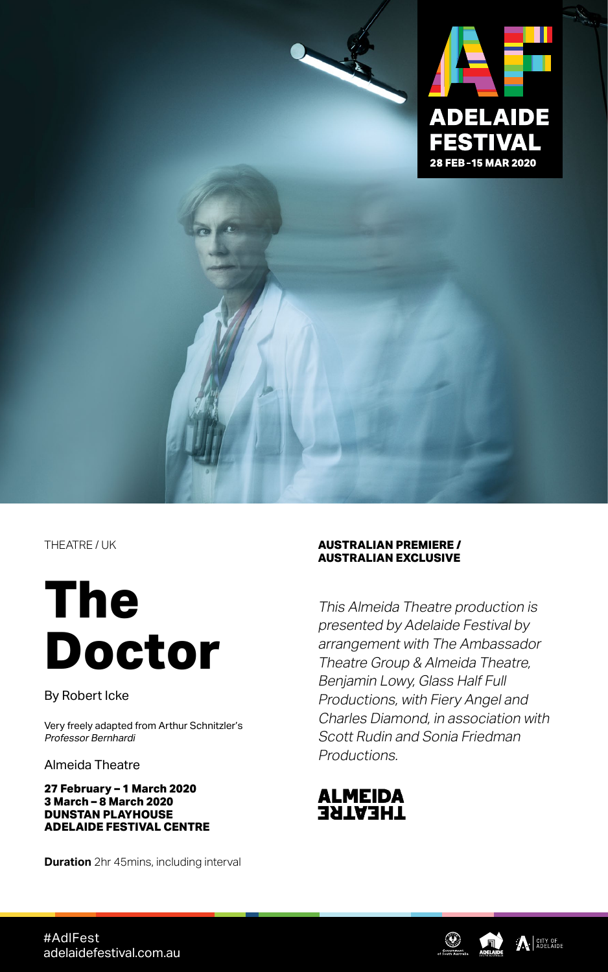

THEATRE / UK

# **The Doctor**

By Robert Icke

Very freely adapted from Arthur Schnitzler's Professor Bernhardi

Almeida Theatre

#### **27 February – 1 March 2020 3 March – 8 March 2020 DUNSTAN PLAYHOUSE ADELAIDE FESTIVAL CENTRE**

**Duration** 2hr 45mins, including interval

#### **AUSTRALIAN PREMIERE / AUSTRALIAN EXCLUSIVE**

This Almeida Theatre production is presented by Adelaide Festival by arrangement with The Ambassador Theatre Group & Almeida Theatre, Benjamin Lowy, Glass Half Full Productions, with Fiery Angel and Charles Diamond, in association with Scott Rudin and Sonia Friedman Productions.







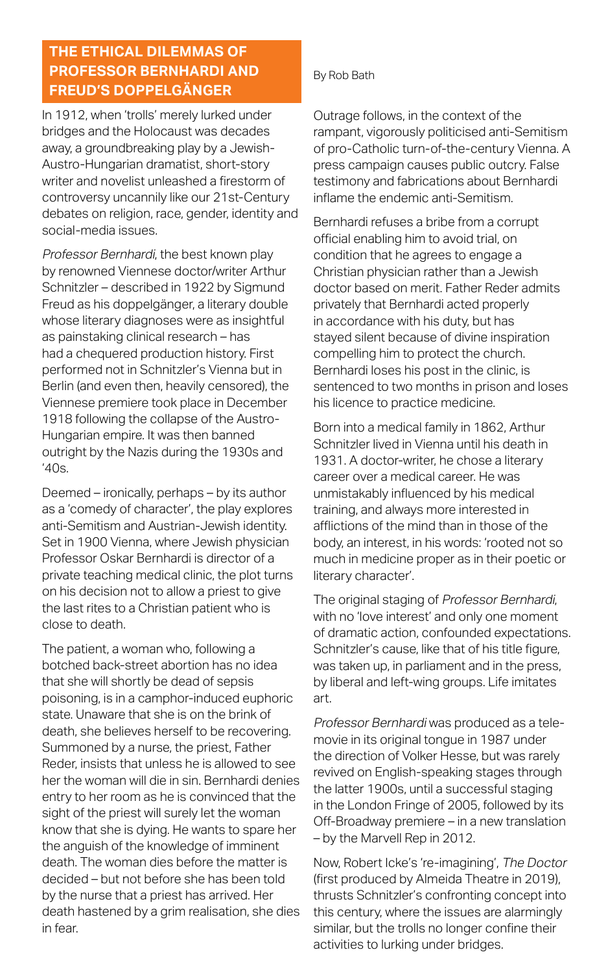# **THE ETHICAL DILEMMAS OF PROFESSOR BERNHARDI AND FREUD'S DOPPELGÄNGER**

In 1912, when 'trolls' merely lurked under bridges and the Holocaust was decades away, a groundbreaking play by a Jewish-Austro-Hungarian dramatist, short-story writer and novelist unleashed a firestorm of controversy uncannily like our 21st-Century debates on religion, race, gender, identity and social-media issues.

Professor Bernhardi, the best known play by renowned Viennese doctor/writer Arthur Schnitzler – described in 1922 by Sigmund Freud as his doppelgänger, a literary double whose literary diagnoses were as insightful as painstaking clinical research – has had a chequered production history. First performed not in Schnitzler's Vienna but in Berlin (and even then, heavily censored), the Viennese premiere took place in December 1918 following the collapse of the Austro-Hungarian empire. It was then banned outright by the Nazis during the 1930s and  $'40s$ .

Deemed – ironically, perhaps – by its author as a 'comedy of character', the play explores anti-Semitism and Austrian-Jewish identity. Set in 1900 Vienna, where Jewish physician Professor Oskar Bernhardi is director of a private teaching medical clinic, the plot turns on his decision not to allow a priest to give the last rites to a Christian patient who is close to death.

The patient, a woman who, following a botched back-street abortion has no idea that she will shortly be dead of sepsis poisoning, is in a camphor-induced euphoric state. Unaware that she is on the brink of death, she believes herself to be recovering. Summoned by a nurse, the priest, Father Reder, insists that unless he is allowed to see her the woman will die in sin. Bernhardi denies entry to her room as he is convinced that the sight of the priest will surely let the woman know that she is dying. He wants to spare her the anguish of the knowledge of imminent death. The woman dies before the matter is decided – but not before she has been told by the nurse that a priest has arrived. Her death hastened by a grim realisation, she dies in fear.

### By Rob Bath

Outrage follows, in the context of the rampant, vigorously politicised anti-Semitism of pro-Catholic turn-of-the-century Vienna. A press campaign causes public outcry. False testimony and fabrications about Bernhardi inflame the endemic anti-Semitism.

Bernhardi refuses a bribe from a corrupt official enabling him to avoid trial, on condition that he agrees to engage a Christian physician rather than a Jewish doctor based on merit. Father Reder admits privately that Bernhardi acted properly in accordance with his duty, but has stayed silent because of divine inspiration compelling him to protect the church. Bernhardi loses his post in the clinic, is sentenced to two months in prison and loses his licence to practice medicine.

Born into a medical family in 1862, Arthur Schnitzler lived in Vienna until his death in 1931. A doctor-writer, he chose a literary career over a medical career. He was unmistakably influenced by his medical training, and always more interested in afflictions of the mind than in those of the body, an interest, in his words: 'rooted not so much in medicine proper as in their poetic or literary character'.

The original staging of Professor Bernhardi, with no 'love interest' and only one moment of dramatic action, confounded expectations. Schnitzler's cause, like that of his title figure, was taken up, in parliament and in the press, by liberal and left-wing groups. Life imitates art.

Professor Bernhardi was produced as a telemovie in its original tongue in 1987 under the direction of Volker Hesse, but was rarely revived on English-speaking stages through the latter 1900s, until a successful staging in the London Fringe of 2005, followed by its Off-Broadway premiere – in a new translation – by the Marvell Rep in 2012.

Now, Robert Icke's 're-imagining', The Doctor (first produced by Almeida Theatre in 2019), thrusts Schnitzler's confronting concept into this century, where the issues are alarmingly similar, but the trolls no longer confine their activities to lurking under bridges.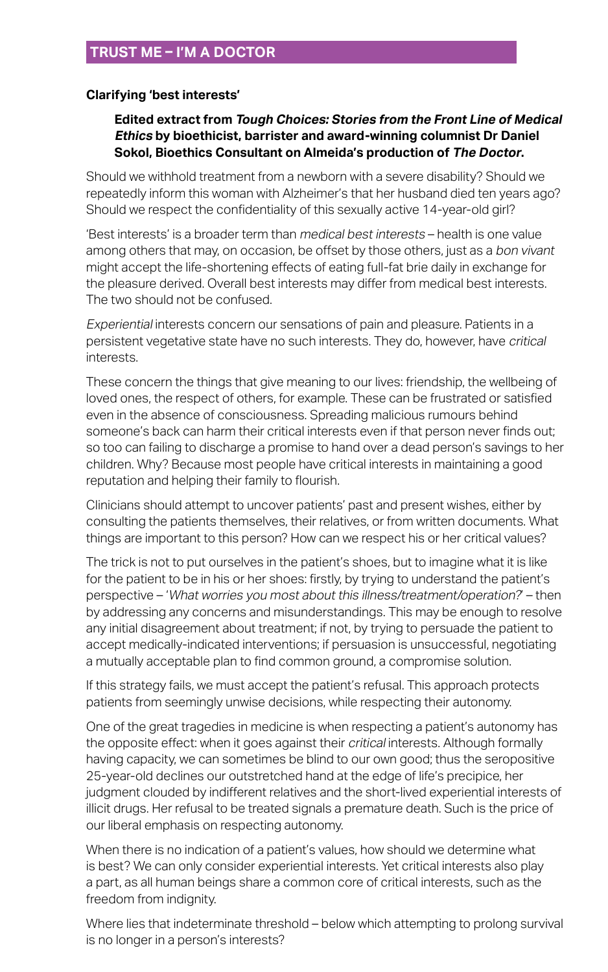### **Clarifying 'best interests'**

### **Edited extract from Tough Choices: Stories from the Front Line of Medical Ethics by bioethicist, barrister and award-winning columnist Dr Daniel Sokol, Bioethics Consultant on Almeida's production of The Doctor.**

Should we withhold treatment from a newborn with a severe disability? Should we repeatedly inform this woman with Alzheimer's that her husband died ten years ago? Should we respect the confidentiality of this sexually active 14-year-old girl?

'Best interests' is a broader term than medical best interests – health is one value among others that may, on occasion, be offset by those others, just as a bon vivant might accept the life-shortening effects of eating full-fat brie daily in exchange for the pleasure derived. Overall best interests may differ from medical best interests. The two should not be confused.

Experiential interests concern our sensations of pain and pleasure. Patients in a persistent vegetative state have no such interests. They do, however, have critical interests.

These concern the things that give meaning to our lives: friendship, the wellbeing of loved ones, the respect of others, for example. These can be frustrated or satisfied even in the absence of consciousness. Spreading malicious rumours behind someone's back can harm their critical interests even if that person never finds out; so too can failing to discharge a promise to hand over a dead person's savings to her children. Why? Because most people have critical interests in maintaining a good reputation and helping their family to flourish.

Clinicians should attempt to uncover patients' past and present wishes, either by consulting the patients themselves, their relatives, or from written documents. What things are important to this person? How can we respect his or her critical values?

The trick is not to put ourselves in the patient's shoes, but to imagine what it is like for the patient to be in his or her shoes: firstly, by trying to understand the patient's perspective – 'What worries you most about this illness/treatment/operation?' – then by addressing any concerns and misunderstandings. This may be enough to resolve any initial disagreement about treatment; if not, by trying to persuade the patient to accept medically-indicated interventions; if persuasion is unsuccessful, negotiating a mutually acceptable plan to find common ground, a compromise solution.

If this strategy fails, we must accept the patient's refusal. This approach protects patients from seemingly unwise decisions, while respecting their autonomy.

One of the great tragedies in medicine is when respecting a patient's autonomy has the opposite effect: when it goes against their *critical* interests. Although formally having capacity, we can sometimes be blind to our own good; thus the seropositive 25-year-old declines our outstretched hand at the edge of life's precipice, her judgment clouded by indifferent relatives and the short-lived experiential interests of illicit drugs. Her refusal to be treated signals a premature death. Such is the price of our liberal emphasis on respecting autonomy.

When there is no indication of a patient's values, how should we determine what is best? We can only consider experiential interests. Yet critical interests also play a part, as all human beings share a common core of critical interests, such as the freedom from indignity.

Where lies that indeterminate threshold – below which attempting to prolong survival is no longer in a person's interests?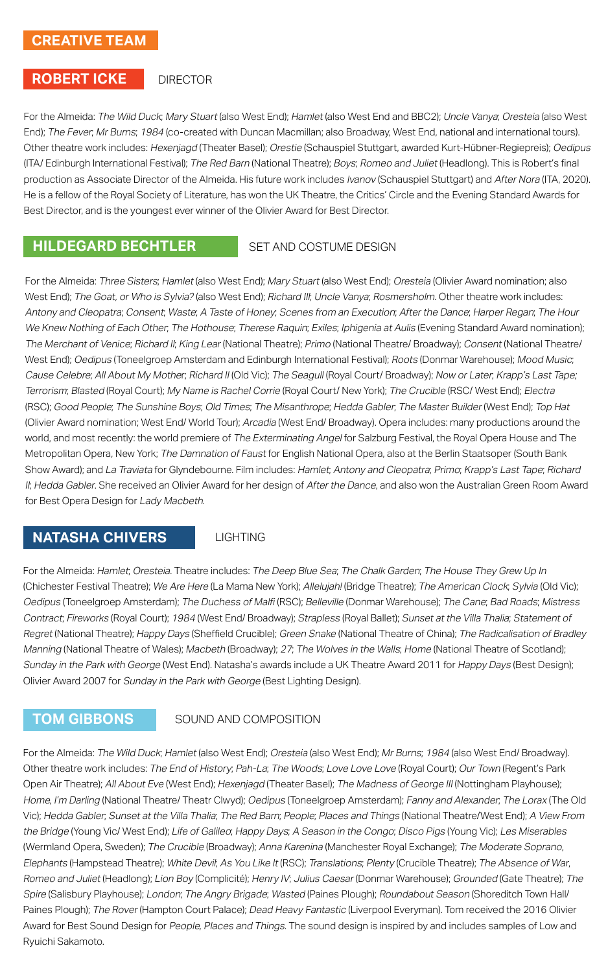# **CREATIVE TEAM**

#### **ROBERT ICKE**

#### **DIRECTOR**

For the Almeida: The Wild Duck; Mary Stuart (also West End); Hamlet (also West End and BBC2); Uncle Vanya; Oresteia (also West End); The Fever; Mr Burns; 1984 (co-created with Duncan Macmillan; also Broadway, West End, national and international tours). Other theatre work includes: Hexenjagd (Theater Basel); Orestie (Schauspiel Stuttgart, awarded Kurt-Hübner-Regiepreis); Oedipus (ITA/ Edinburgh International Festival); The Red Barn (National Theatre); Boys; Romeo and Juliet (Headlong). This is Robert's final production as Associate Director of the Almeida. His future work includes Ivanov (Schauspiel Stuttgart) and After Nora (ITA, 2020). He is a fellow of the Royal Society of Literature, has won the UK Theatre, the Critics' Circle and the Evening Standard Awards for Best Director, and is the youngest ever winner of the Olivier Award for Best Director.

### **HILDEGARD BECHTLER**

#### SET AND COSTUME DESIGN

For the Almeida: Three Sisters; Hamlet (also West End); Mary Stuart (also West End); Oresteia (Olivier Award nomination; also West End); The Goat, or Who is Sylvia? (also West End); Richard III; Uncle Vanya; Rosmersholm. Other theatre work includes: Antony and Cleopatra; Consent; Waste; A Taste of Honey; Scenes from an Execution; After the Dance; Harper Regan; The Hour We Knew Nothing of Each Other; The Hothouse; Therese Raquin; Exiles; Iphigenia at Aulis (Evening Standard Award nomination); The Merchant of Venice; Richard II; King Lear (National Theatre); Primo (National Theatre/ Broadway); Consent (National Theatre/ West End); Oedipus (Toneelgroep Amsterdam and Edinburgh International Festival); Roots (Donmar Warehouse); Mood Music; Cause Celebre; All About My Mother; Richard II (Old Vic); The Seagull (Royal Court/ Broadway); Now or Later; Krapp's Last Tape; Terrorism; Blasted (Royal Court); My Name is Rachel Corrie (Royal Court/ New York); The Crucible (RSC/ West End); Electra (RSC); Good People; The Sunshine Boys; Old Times; The Misanthrope; Hedda Gabler; The Master Builder (West End); Top Hat (Olivier Award nomination; West End/ World Tour); Arcadia (West End/ Broadway). Opera includes: many productions around the world, and most recently: the world premiere of The Exterminating Angel for Salzburg Festival, the Royal Opera House and The Metropolitan Opera, New York; The Damnation of Faust for English National Opera, also at the Berlin Staatsoper (South Bank Show Award); and La Traviata for Glyndebourne. Film includes: Hamlet; Antony and Cleopatra; Primo; Krapp's Last Tape; Richard II; Hedda Gabler. She received an Olivier Award for her design of After the Dance, and also won the Australian Green Room Award for Best Opera Design for Lady Macbeth.

# **NATASHA CHIVERS** LIGHTING

For the Almeida: Hamlet; Oresteia. Theatre includes: The Deep Blue Sea; The Chalk Garden; The House They Grew Up In (Chichester Festival Theatre); We Are Here (La Mama New York); Allelujah! (Bridge Theatre); The American Clock; Sylvia (Old Vic); Oedipus (Toneelgroep Amsterdam); The Duchess of Malfi (RSC); Belleville (Donmar Warehouse); The Cane; Bad Roads; Mistress Contract; Fireworks (Royal Court); 1984 (West End/ Broadway); Strapless (Royal Ballet); Sunset at the Villa Thalia; Statement of Regret (National Theatre); Happy Days (Sheffield Crucible); Green Snake (National Theatre of China); The Radicalisation of Bradley Manning (National Theatre of Wales); Macbeth (Broadway); 27; The Wolves in the Walls; Home (National Theatre of Scotland); Sunday in the Park with George (West End). Natasha's awards include a UK Theatre Award 2011 for Happy Days (Best Design); Olivier Award 2007 for Sunday in the Park with George (Best Lighting Design).

### **TOM GIBBONS** SOUND AND COMPOSITION

For the Almeida: The Wild Duck; Hamlet (also West End); Oresteia (also West End); Mr Burns; 1984 (also West End/ Broadway). Other theatre work includes: The End of History; Pah-La; The Woods; Love Love Love (Royal Court); Our Town (Regent's Park Open Air Theatre); All About Eve (West End); Hexenjagd (Theater Basel); The Madness of George III (Nottingham Playhouse); Home, I'm Darling (National Theatre/ Theatr Clwyd); Oedipus (Toneelgroep Amsterdam); Fanny and Alexander; The Lorax (The Old Vic); Hedda Gabler; Sunset at the Villa Thalia; The Red Barn; People; Places and Things (National Theatre/West End); A View From the Bridge (Young Vic/ West End); Life of Galileo; Happy Days; A Season in the Congo; Disco Pigs (Young Vic); Les Miserables (Wermland Opera, Sweden); The Crucible (Broadway); Anna Karenina (Manchester Royal Exchange); The Moderate Soprano, Elephants (Hampstead Theatre); White Devil; As You Like It (RSC); Translations; Plenty (Crucible Theatre); The Absence of War, Romeo and Juliet (Headlong); Lion Boy (Complicité); Henry IV; Julius Caesar (Donmar Warehouse); Grounded (Gate Theatre); The Spire (Salisbury Playhouse); London; The Angry Brigade; Wasted (Paines Plough); Roundabout Season (Shoreditch Town Hall/ Paines Plough); The Rover (Hampton Court Palace); Dead Heavy Fantastic (Liverpool Everyman). Tom received the 2016 Olivier Award for Best Sound Design for People, Places and Things. The sound design is inspired by and includes samples of Low and Ryuichi Sakamoto.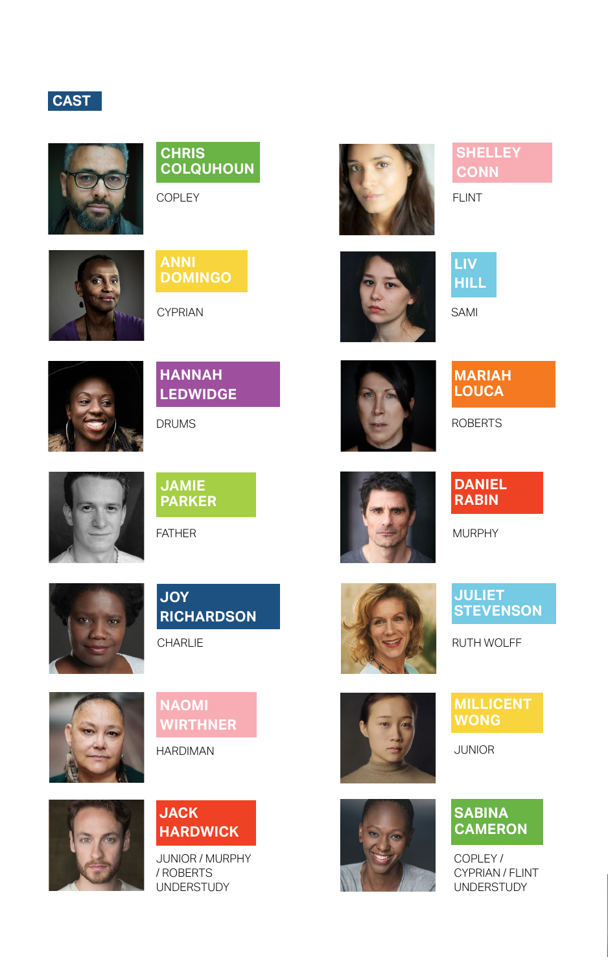# **CAST**



# **CHRIS COLQUHOUN**

COPLEY



# **ANNI DOMINGO**

CYPRIAN



# **HANNAH LEDWIDGE**

DRUMS



**JAMIE PARKER**

FATHER



# **JOY RICHARDSON**

CHARLIE

**NAOMI WIRTHNER**

HARDIMAN





# **JACK HARDWICK**

JUNIOR / MURPHY / ROBERTS UNDERSTUDY



# **SHELLEY CONN**

FLINT

**LIV HILL**







# **MARIAH LOUCA**

ROBERTS



# **DANIEL RABIN**

MURPHY



# **JULIET STEVENSON**

RUTH WOLFF







JUNIOR

# **SABINA CAMERON**

COPLEY / CYPRIAN / FLINT UNDERSTUDY